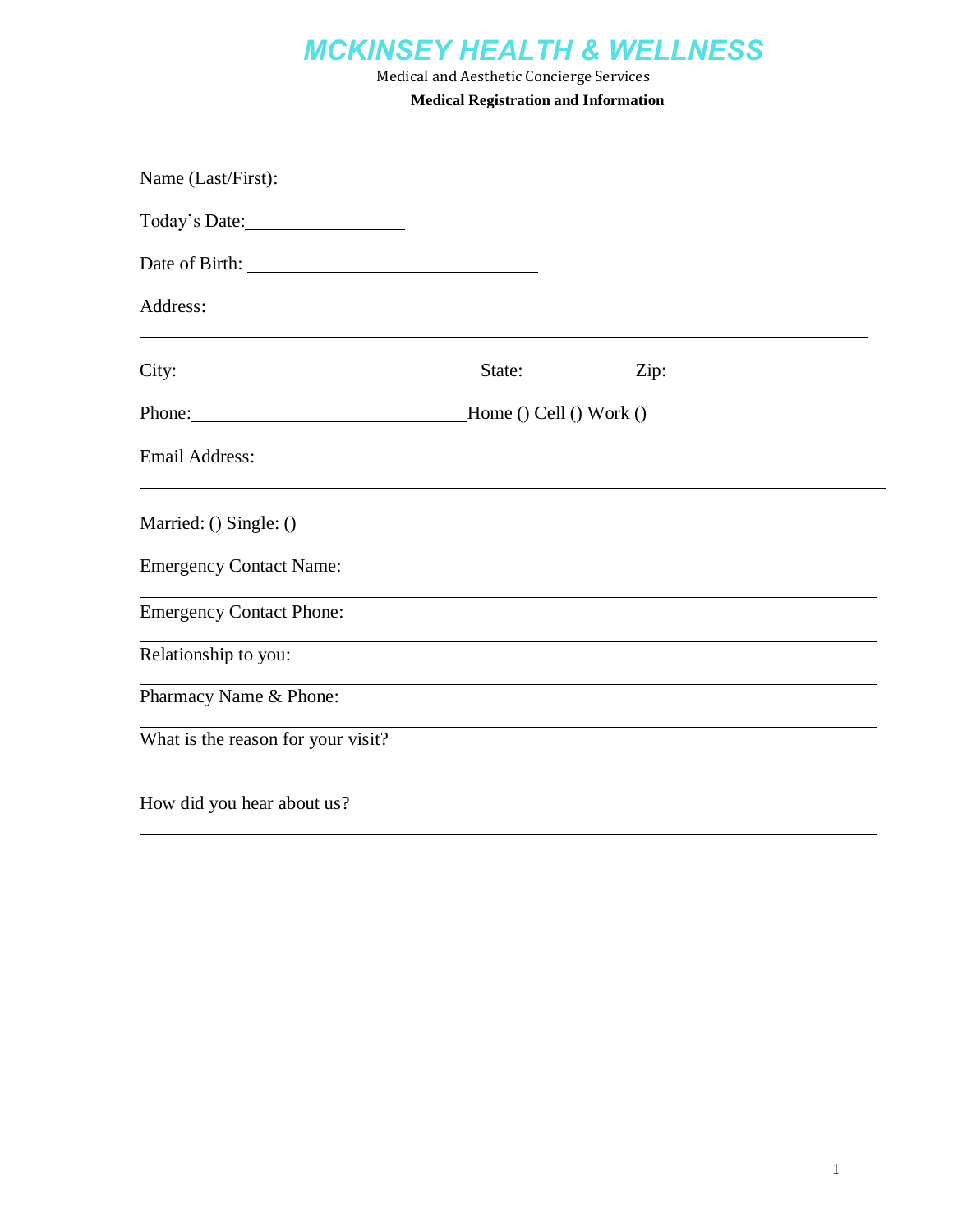# *MCKINSEY HEALTH & WELLNESS*

Medical and Aesthetic Concierge Services **Medical Registration and Information**

| Address:                           |                                                                                  |
|------------------------------------|----------------------------------------------------------------------------------|
|                                    |                                                                                  |
|                                    |                                                                                  |
| <b>Email Address:</b>              |                                                                                  |
| Married: () Single: ()             |                                                                                  |
| <b>Emergency Contact Name:</b>     |                                                                                  |
| <b>Emergency Contact Phone:</b>    |                                                                                  |
| Relationship to you:               |                                                                                  |
| Pharmacy Name & Phone:             | ,我们也不会有什么。""我们的人,我们也不会有什么?""我们的人,我们也不会有什么?""我们的人,我们也不会有什么?""我们的人,我们也不会有什么?""我们的人 |
| What is the reason for your visit? | ,我们也不能在这里的时候,我们也不能在这里的时候,我们也不能会在这里的时候,我们也不能会在这里的时候,我们也不能会在这里的时候,我们也不能会在这里的时候,我们也 |
| How did you hear about us?         |                                                                                  |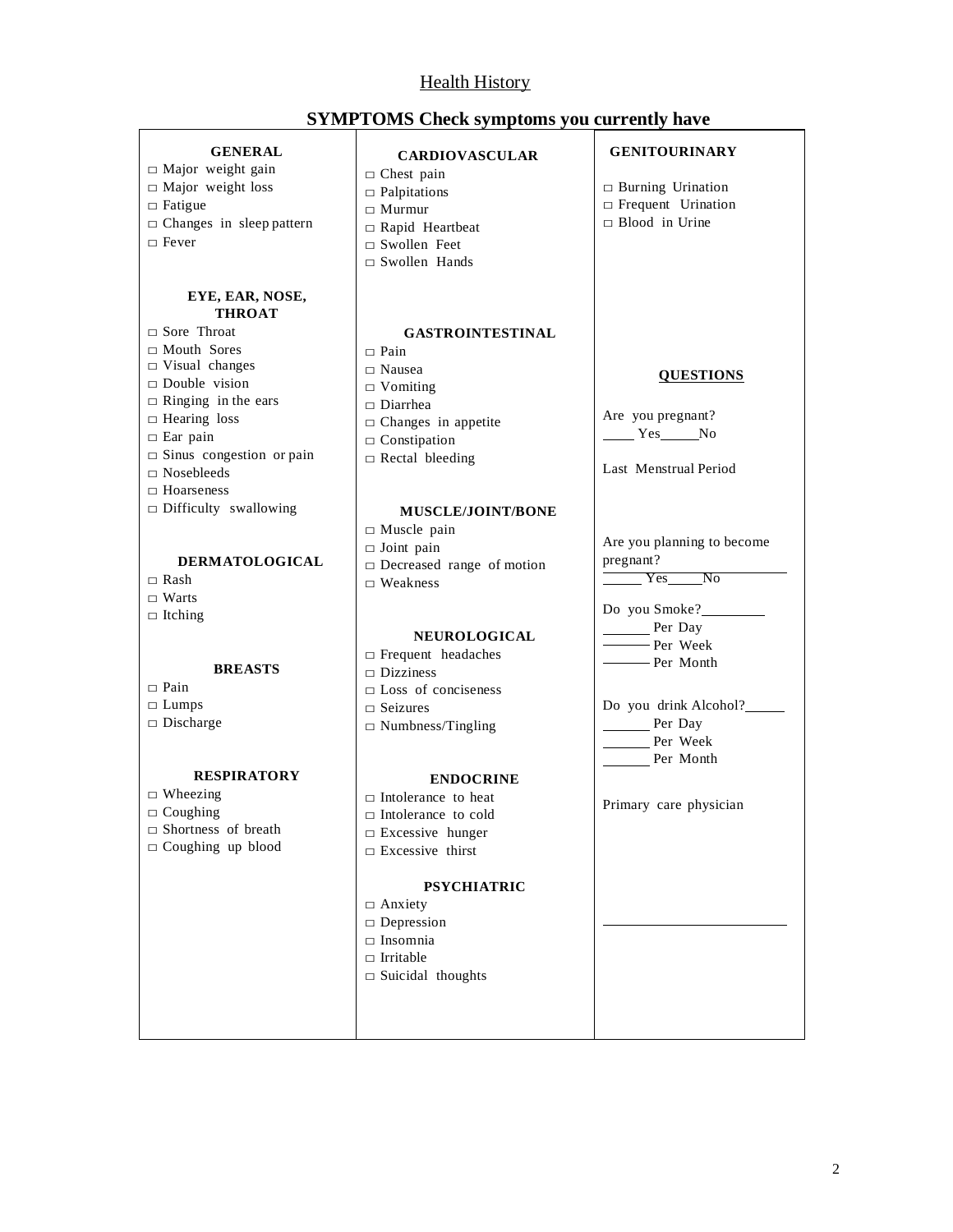#### Health History

 $\Box$  Fever

□ Rash

□ Pain

**SYMPTOMS Check symptoms you currently have**

#### **GENERAL**  $\square$  Major weight gain □ Major weight loss  $\Box$  Fatigue  $\Box$  Changes in sleep pattern **EYE, EAR, NOSE, THROAT** □ Sore Throat □ Mouth Sores □ Visual changes □ Double vision  $\Box$  Ringing in the ears □ Hearing loss  $\square$  Ear pain  $\square$  Sinus congestion or pain  $\square$  Nosebleeds  $\Box$  Hoarseness  $\Box$  Difficulty swallowing **DERMATOLOGICAL** □ Warts  $\Box$  Itching **BREASTS**  $\square$  Lumps □ Discharge **RESPIRATORY**  $\square$  Wheezing  $\Box$  Coughing □ Shortness of breath  $\Box$  Coughing up blood **CARDIOVASCULAR**  $\Box$  Chest pain  $\Box$  Palpitations □ Murmur □ Rapid Heartbeat  $\Box$  Swollen Feet □ Swollen Hands **GASTROINTESTINAL**  $\Box$  Pain □ Nausea  $\square$  Vomiting □ Diarrhea  $\Box$  Changes in appetite  $\Box$  Constipation  $\Box$  Rectal bleeding **MUSCLE/JOINT/BONE**  $\square$  Muscle pain  $\Box$  Joint pain □ Decreased range of motion  $\Box$  Weakness **NEUROLOGICAL** □ Frequent headaches  $\neg$  Dizziness □ Loss of conciseness □ Seizures □ Numbness/Tingling **ENDOCRINE** □ Intolerance to heat □ Intolerance to cold  $\square$  Excessive hunger □ Excessive thirst **PSYCHIATRIC** □ Anxiety □ Depression  $\square$  Insomnia □ Irritable  $\square$  Suicidal thoughts **GENITOURINARY** □ Burning Urination □ Frequent Urination □ Blood in Urine **QUESTIONS** Are you pregnant? No Yes No Last Menstrual Period Are you planning to become pregnant? Yes No Do you Smoke? Per Day Per Week **Per Month** Do you drink Alcohol? Per Day Per Week Per Month Primary care physician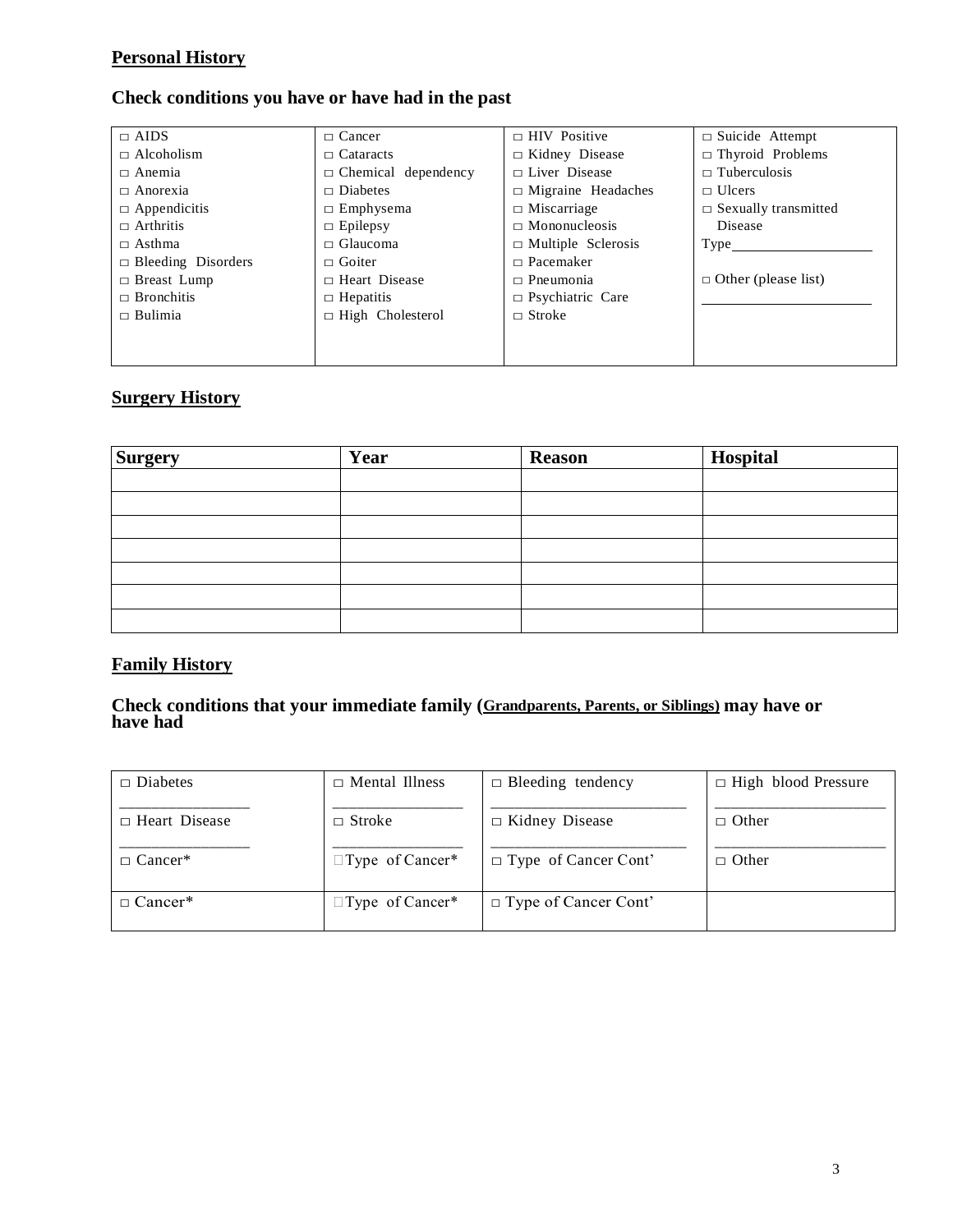#### **Personal History**

#### **Check conditions you have or have had in the past**

| $\Box$ AIDS               | $\Box$ Cancer              | $\Box$ HIV Positive       | $\Box$ Suicide Attempt      |
|---------------------------|----------------------------|---------------------------|-----------------------------|
| $\Box$ Alcoholism         | $\Box$ Cataracts           | $\Box$ Kidney Disease     | $\Box$ Thyroid Problems     |
| $\Box$ Anemia             | $\Box$ Chemical dependency | $\Box$ Liver Disease      | $\Box$ Tuberculosis         |
| $\Box$ Anorexia           | $\Box$ Diabetes            | $\Box$ Migraine Headaches | $\Box$ Ulcers               |
| $\Box$ Appendicitis       | $\Box$ Emphysema           | $\Box$ Miscarriage        | $\Box$ Sexually transmitted |
| $\Box$ Arthritis          | $\Box$ Epilepsy            | $\Box$ Mononucleosis      | Disease                     |
| $\Box$ Asthma             | $\Box$ Glaucoma            | $\Box$ Multiple Sclerosis | Type_                       |
| $\Box$ Bleeding Disorders | $\Box$ Goiter              | $\Box$ Pacemaker          |                             |
| $\Box$ Breast Lump        | $\Box$ Heart Disease       | $\Box$ Pneumonia          | $\Box$ Other (please list)  |
| $\Box$ Bronchitis         | $\Box$ Hepatitis           | $\Box$ Psychiatric Care   |                             |
| $\Box$ Bulimia            | $\Box$ High Cholesterol    | $\Box$ Stroke             |                             |
|                           |                            |                           |                             |
|                           |                            |                           |                             |

## **Surgery History**

| <b>Surgery</b> | Year | <b>Reason</b> | Hospital |
|----------------|------|---------------|----------|
|                |      |               |          |
|                |      |               |          |
|                |      |               |          |
|                |      |               |          |
|                |      |               |          |
|                |      |               |          |
|                |      |               |          |

## **Family History**

#### **Check conditions that your immediate family (Grandparents, Parents, or Siblings) may have or have had**

| $\Box$ Diabetes      | $\Box$ Mental Illness  | $\Box$ Bleeding tendency    | $\Box$ High blood Pressure |
|----------------------|------------------------|-----------------------------|----------------------------|
| $\Box$ Heart Disease | $\Box$ Stroke          | $\Box$ Kidney Disease       | $\Box$ Other               |
| $\Box$ Cancer*       | $\Box$ Type of Cancer* | $\Box$ Type of Cancer Cont' | $\Box$ Other               |
| $\Box$ Cancer*       | $\Box$ Type of Cancer* | $\Box$ Type of Cancer Cont' |                            |